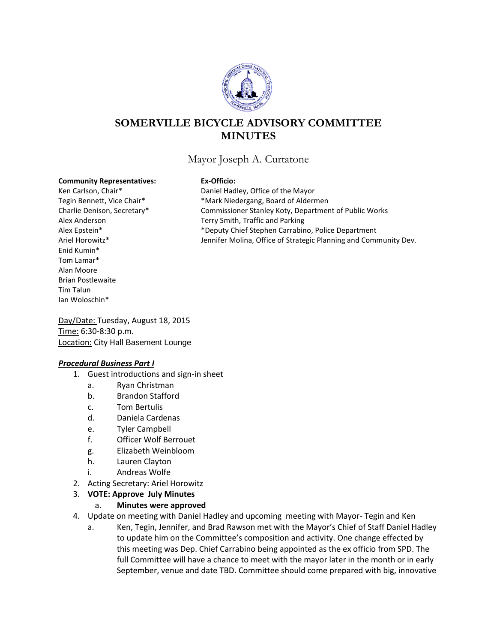

# **SOMERVILLE BICYCLE ADVISORY COMMITTEE MINUTES**

## Mayor Joseph A. Curtatone

#### **Community Representatives: Ex-Officio:**

Enid Kumin\* Tom Lamar\* Alan Moore Brian Postlewaite Tim Talun Ian Woloschin\*

Ken Carlson, Chair\* Daniel Hadley, Office of the Mayor Tegin Bennett, Vice Chair\* \* \*Mark Niedergang, Board of Aldermen Charlie Denison, Secretary\* Commissioner Stanley Koty, Department of Public Works Alex Anderson Terry Smith, Traffic and Parking Alex Epstein\* \*Deputy Chief Stephen Carrabino, Police Department Ariel Horowitz\* The Strategic Planning and Community Dev.

Day/Date: Tuesday, August 18, 2015 Time: 6:30-8:30 p.m. **Location: City Hall Basement Lounge** 

#### *Procedural Business Part I*

- 1. Guest introductions and sign-in sheet
	- a. Ryan Christman
	- b. Brandon Stafford
	- c. Tom Bertulis
	- d. Daniela Cardenas
	- e. Tyler Campbell
	- f. Officer Wolf Berrouet
	- g. Elizabeth Weinbloom
	- h. Lauren Clayton
	- i. Andreas Wolfe
- 2. Acting Secretary: Ariel Horowitz
- 3. **VOTE: Approve July Minutes**

#### a. **Minutes were approved**

- 4. Update on meeting with Daniel Hadley and upcoming meeting with Mayor- Tegin and Ken
	- a. Ken, Tegin, Jennifer, and Brad Rawson met with the Mayor's Chief of Staff Daniel Hadley to update him on the Committee's composition and activity. One change effected by this meeting was Dep. Chief Carrabino being appointed as the ex officio from SPD. The full Committee will have a chance to meet with the mayor later in the month or in early September, venue and date TBD. Committee should come prepared with big, innovative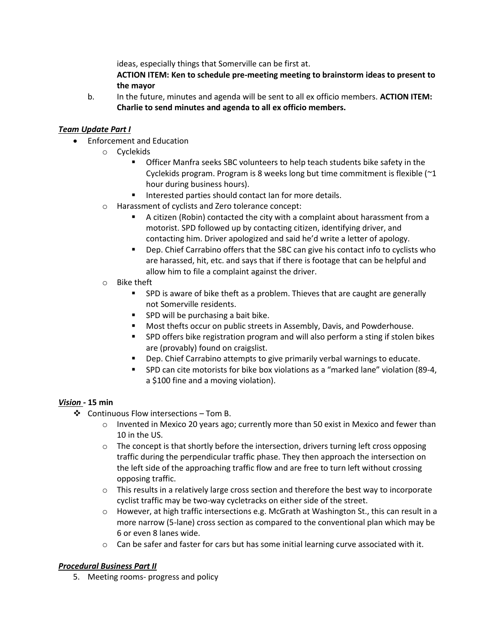ideas, especially things that Somerville can be first at.

**ACTION ITEM: Ken to schedule pre-meeting meeting to brainstorm ideas to present to the mayor**

b. In the future, minutes and agenda will be sent to all ex officio members. **ACTION ITEM: Charlie to send minutes and agenda to all ex officio members.**

### *Team Update Part I*

- Enforcement and Education
	- o Cyclekids
		- Officer Manfra seeks SBC volunteers to help teach students bike safety in the Cyclekids program. Program is 8 weeks long but time commitment is flexible (~1 hour during business hours).
		- Interested parties should contact Ian for more details.
	- o Harassment of cyclists and Zero tolerance concept:
		- A citizen (Robin) contacted the city with a complaint about harassment from a motorist. SPD followed up by contacting citizen, identifying driver, and contacting him. Driver apologized and said he'd write a letter of apology.
		- Dep. Chief Carrabino offers that the SBC can give his contact info to cyclists who are harassed, hit, etc. and says that if there is footage that can be helpful and allow him to file a complaint against the driver.
	- o Bike theft
		- **SPD** is aware of bike theft as a problem. Thieves that are caught are generally not Somerville residents.
		- SPD will be purchasing a bait bike.
		- **Most thefts occur on public streets in Assembly, Davis, and Powderhouse.**
		- SPD offers bike registration program and will also perform a sting if stolen bikes are (provably) found on craigslist.
		- **•** Dep. Chief Carrabino attempts to give primarily verbal warnings to educate.
		- SPD can cite motorists for bike box violations as a "marked lane" violation (89-4, a \$100 fine and a moving violation).

#### *Vision -* **15 min**

- ❖ Continuous Flow intersections Tom B.
	- $\circ$  Invented in Mexico 20 years ago; currently more than 50 exist in Mexico and fewer than 10 in the US.
	- $\circ$  The concept is that shortly before the intersection, drivers turning left cross opposing traffic during the perpendicular traffic phase. They then approach the intersection on the left side of the approaching traffic flow and are free to turn left without crossing opposing traffic.
	- $\circ$  This results in a relatively large cross section and therefore the best way to incorporate cyclist traffic may be two-way cycletracks on either side of the street.
	- $\circ$  However, at high traffic intersections e.g. McGrath at Washington St., this can result in a more narrow (5-lane) cross section as compared to the conventional plan which may be 6 or even 8 lanes wide.
	- $\circ$  Can be safer and faster for cars but has some initial learning curve associated with it.

#### *Procedural Business Part II*

5. Meeting rooms- progress and policy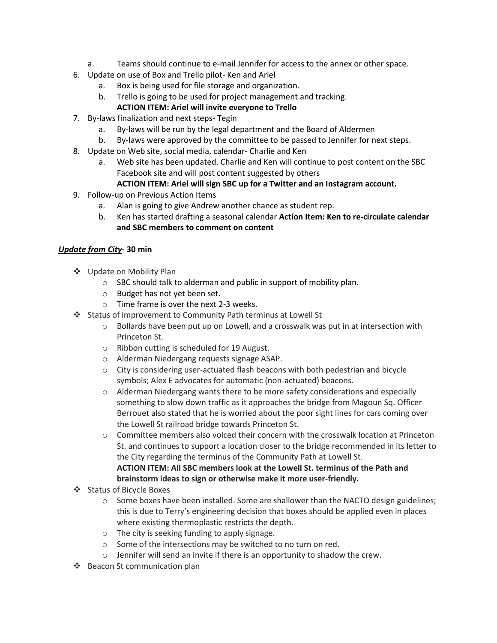- a. Teams should continue to e-mail Jennifer for access to the annex or other space.
- 6. Update on use of Box and Trello pilot- Ken and Ariel
	- a. Box is being used for file storage and organization.
	- b. Trello is going to be used for project management and tracking.

### **ACTION ITEM: Ariel will invite everyone to Trello**

- 7. By-laws finalization and next steps- Tegin
	- a. By-laws will be run by the legal department and the Board of Aldermen
	- b. By-laws were approved by the committee to be passed to Jennifer for next steps.
- 8. Update on Web site, social media, calendar- Charlie and Ken
	- a. Web site has been updated. Charlie and Ken will continue to post content on the SBC Facebook site and will post content suggested by others

#### **ACTION ITEM: Ariel will sign SBC up for a Twitter and an Instagram account.**

- 9. Follow-up on Previous Action Items
	- a. Alan is going to give Andrew another chance as student rep.
	- b. Ken has started drafting a seasonal calendar **Action Item: Ken to re-circulate calendar and SBC members to comment on content**

#### *Update from City***- 30 min**

- ❖ Update on Mobility Plan
	- o SBC should talk to alderman and public in support of mobility plan.
	- o Budget has not yet been set.
	- o Time frame is over the next 2-3 weeks.
- Status of improvement to Community Path terminus at Lowell St
	- $\circ$  Bollards have been put up on Lowell, and a crosswalk was put in at intersection with Princeton St.
	- o Ribbon cutting is scheduled for 19 August.
	- o Alderman Niedergang requests signage ASAP.
	- $\circ$  City is considering user-actuated flash beacons with both pedestrian and bicycle symbols; Alex E advocates for automatic (non-actuated) beacons.
	- $\circ$  Alderman Niedergang wants there to be more safety considerations and especially something to slow down traffic as it approaches the bridge from Magoun Sq. Officer Berrouet also stated that he is worried about the poor sight lines for cars coming over the Lowell St railroad bridge towards Princeton St.
	- $\circ$  Committee members also voiced their concern with the crosswalk location at Princeton St. and continues to support a location closer to the bridge recommended in its letter to the City regarding the terminus of the Community Path at Lowell St. **ACTION ITEM: All SBC members look at the Lowell St. terminus of the Path and brainstorm ideas to sign or otherwise make it more user-friendly.**
- ❖ Status of Bicycle Boxes
	- $\circ$  Some boxes have been installed. Some are shallower than the NACTO design guidelines; this is due to Terry's engineering decision that boxes should be applied even in places where existing thermoplastic restricts the depth.
	- o The city is seeking funding to apply signage.
	- o Some of the intersections may be switched to no turn on red.
	- o Jennifer will send an invite if there is an opportunity to shadow the crew.
- ❖ Beacon St communication plan